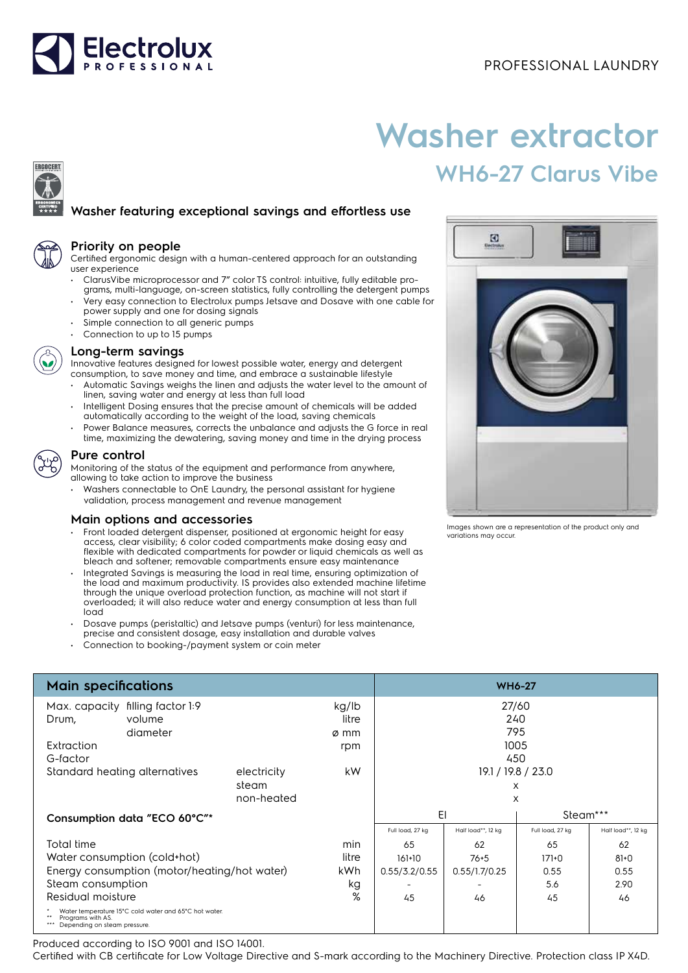

# **Washer extractor WH6-27 Clarus Vibe**

# **Washer featuring exceptional savings and effortless use**



ERGOCERT

## **Priority on people**

Certified ergonomic design with a human-centered approach for an outstanding user experience

- ClarusVibe microprocessor and 7" color TS control: intuitive, fully editable programs, multi-language, on-screen statistics, fully controlling the detergent pumps
- Very easy connection to Electrolux pumps Jetsave and Dosave with one cable for power supply and one for dosing signals
- Simple connection to all generic pumps • Connection to up to 15 pumps



### **Long-term savings**

Innovative features designed for lowest possible water, energy and detergent consumption, to save money and time, and embrace a sustainable lifestyle

- Automatic Savings weighs the linen and adjusts the water level to the amount of linen, saving water and energy at less than full load
- Intelligent Dosing ensures that the precise amount of chemicals will be added automatically according to the weight of the load, saving chemicals
- Power Balance measures, corrects the unbalance and adjusts the G force in real time, maximizing the dewatering, saving money and time in the drying process



Monitoring of the status of the equipment and performance from anywhere, allowing to take action to improve the business

• Washers connectable to OnE Laundry, the personal assistant for hygiene validation, process management and revenue management

### **Main options and accessories**

- Front loaded detergent dispenser, positioned at ergonomic height for easy access, clear visibility; 6 color coded compartments make dosing easy and flexible with dedicated compartments for powder or liquid chemicals as well as bleach and softener; removable compartments ensure easy maintenance
- Integrated Savings is measuring the load in real time, ensuring optimization of the load and maximum productivity. IS provides also extended machine lifetime through the unique overload protection function, as machine will not start if overloaded; it will also reduce water and energy consumption at less than full load
- Dosave pumps (peristaltic) and Jetsave pumps (venturi) for less maintenance,
- precise and consistent dosage, easy installation and durable valves
- Connection to booking-/payment system or coin meter



Images shown are a representation of the product only and variations may occur.

| <b>Main specifications</b>                                                                                 |          |            |       | <b>WH6-27</b>            |                    |                  |                    |
|------------------------------------------------------------------------------------------------------------|----------|------------|-------|--------------------------|--------------------|------------------|--------------------|
| Max. capacity filling factor 1:9                                                                           |          |            | kg/lb | 27/60                    |                    |                  |                    |
| Drum,                                                                                                      | volume   |            | litre |                          | 240                |                  |                    |
|                                                                                                            | diameter |            | ø mm  |                          | 795                |                  |                    |
| Extraction                                                                                                 |          |            | rpm   |                          | 1005               |                  |                    |
| G-factor                                                                                                   |          |            |       |                          | 450                |                  |                    |
| Standard heating alternatives<br>electricity                                                               |          | steam      | kW    | 19.1 / 19.8 / 23.0<br>X  |                    |                  |                    |
|                                                                                                            |          | non-heated |       |                          | X                  |                  |                    |
| Consumption data "ECO 60°C"*                                                                               |          |            |       | EI                       |                    | Steam***         |                    |
|                                                                                                            |          |            |       | Full load, 27 kg         | Half load**, 12 kg | Full load, 27 kg | Half load**, 12 kg |
| Total time                                                                                                 |          |            | min   | 65                       | 62                 | 65               | 62                 |
| Water consumption (cold+hot)                                                                               |          |            | litre | $161+10$                 | $76 + 5$           | $171+0$          | $81 + 0$           |
| Energy consumption (motor/heating/hot water)                                                               |          |            | kWh.  | 0.55/3.2/0.55            | 0.55/1.7/0.25      | 0.55             | 0.55               |
| Steam consumption                                                                                          |          |            | kg    | $\overline{\phantom{a}}$ |                    | 5.6              | 2.90               |
| Residual moisture                                                                                          |          |            | %     | 45                       | 46                 | 45               | 46                 |
| Water temperature 15°C cold water and 65°C hot water.<br>Programs with AS.<br>Depending on steam pressure. |          |            |       |                          |                    |                  |                    |

Produced according to ISO 9001 and ISO 14001.

Certified with CB certificate for Low Voltage Directive and S-mark according to the Machinery Directive. Protection class IP X4D.